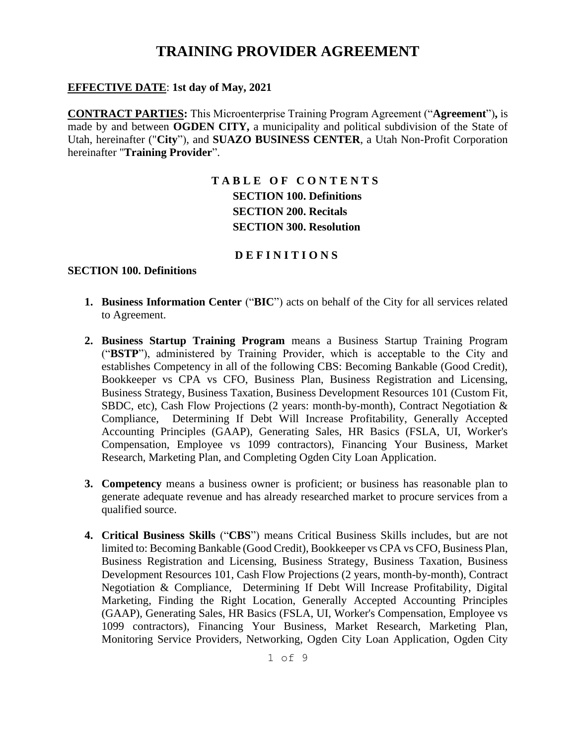#### **EFFECTIVE DATE**: **1st day of May, 2021**

**CONTRACT PARTIES:** This Microenterprise Training Program Agreement ("**Agreement**")**,** is made by and between **OGDEN CITY,** a municipality and political subdivision of the State of Utah, hereinafter ("**City**"), and **SUAZO BUSINESS CENTER**, a Utah Non-Profit Corporation hereinafter "**Training Provider**".

### **T A B L E O F C O N T E N T S SECTION 100. Definitions SECTION 200. Recitals SECTION 300. Resolution**

#### **D E F I N I T I O N S**

#### **SECTION 100. Definitions**

- **1. Business Information Center** ("**BIC**") acts on behalf of the City for all services related to Agreement.
- **2. Business Startup Training Program** means a Business Startup Training Program ("**BSTP**"), administered by Training Provider, which is acceptable to the City and establishes Competency in all of the following CBS: Becoming Bankable (Good Credit), Bookkeeper vs CPA vs CFO, Business Plan, Business Registration and Licensing, Business Strategy, Business Taxation, Business Development Resources 101 (Custom Fit, SBDC, etc), Cash Flow Projections (2 years: month-by-month), Contract Negotiation & Compliance, Determining If Debt Will Increase Profitability, Generally Accepted Accounting Principles (GAAP), Generating Sales, HR Basics (FSLA, UI, Worker's Compensation, Employee vs 1099 contractors), Financing Your Business, Market Research, Marketing Plan, and Completing Ogden City Loan Application.
- **3. Competency** means a business owner is proficient; or business has reasonable plan to generate adequate revenue and has already researched market to procure services from a qualified source.
- **4. Critical Business Skills** ("**CBS**") means Critical Business Skills includes, but are not limited to: Becoming Bankable (Good Credit), Bookkeeper vs CPA vs CFO, Business Plan, Business Registration and Licensing, Business Strategy, Business Taxation, Business Development Resources 101, Cash Flow Projections (2 years, month-by-month), Contract Negotiation & Compliance, Determining If Debt Will Increase Profitability, Digital Marketing, Finding the Right Location, Generally Accepted Accounting Principles (GAAP), Generating Sales, HR Basics (FSLA, UI, Worker's Compensation, Employee vs 1099 contractors), Financing Your Business, Market Research, Marketing Plan, Monitoring Service Providers, Networking, Ogden City Loan Application, Ogden City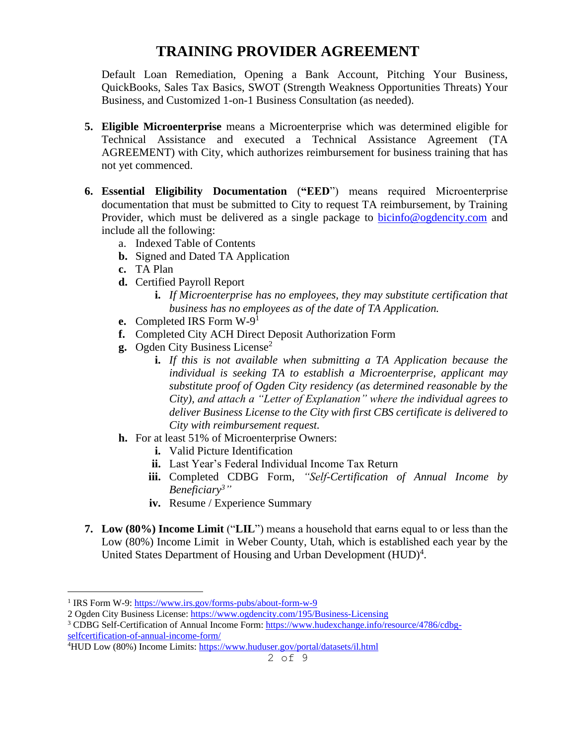Default Loan Remediation, Opening a Bank Account, Pitching Your Business, QuickBooks, Sales Tax Basics, SWOT (Strength Weakness Opportunities Threats) Your Business, and Customized 1-on-1 Business Consultation (as needed).

- **5. Eligible Microenterprise** means a Microenterprise which was determined eligible for Technical Assistance and executed a Technical Assistance Agreement (TA AGREEMENT) with City, which authorizes reimbursement for business training that has not yet commenced.
- **6. Essential Eligibility Documentation** (**"EED**") means required Microenterprise documentation that must be submitted to City to request TA reimbursement, by Training Provider, which must be delivered as a single package to [bicinfo@ogdencity.com](mailto:bicinfo@ogdencity.com) and include all the following:
	- a. Indexed Table of Contents
	- **b.** Signed and Dated TA Application
	- **c.** TA Plan
	- **d.** Certified Payroll Report
		- **i.** *If Microenterprise has no employees, they may substitute certification that business has no employees as of the date of TA Application.*
	- **e.** Completed IRS Form W-9 1
	- **f.** Completed City ACH Direct Deposit Authorization Form
	- **g.** Ogden City Business License<sup>2</sup>
		- **i.** *If this is not available when submitting a TA Application because the individual is seeking TA to establish a Microenterprise, applicant may substitute proof of Ogden City residency (as determined reasonable by the City), and attach a "Letter of Explanation" where the individual agrees to deliver Business License to the City with first CBS certificate is delivered to City with reimbursement request.*
	- **h.** For at least 51% of Microenterprise Owners:
		- **i.** Valid Picture Identification
		- **ii.** Last Year's Federal Individual Income Tax Return
		- **iii.** Completed CDBG Form, *"Self-Certification of Annual Income by Beneficiary<sup>3</sup>"*
		- **iv.** Resume / Experience Summary
- **7. Low (80%) Income Limit** ("**LIL**") means a household that earns equal to or less than the Low (80%) Income Limit in Weber County, Utah, which is established each year by the United States Department of Housing and Urban Development (HUD)<sup>4</sup>.

<sup>&</sup>lt;sup>1</sup> IRS Form W-9:<https://www.irs.gov/forms-pubs/about-form-w-9>

<sup>2</sup> Ogden City Business License:<https://www.ogdencity.com/195/Business-Licensing>

<sup>3</sup> CDBG Self-Certification of Annual Income Form[: https://www.hudexchange.info/resource/4786/cdbg](https://www.hudexchange.info/resource/4786/cdbg-selfcertification-of-annual-income-form/)[selfcertification-of-annual-income-form/](https://www.hudexchange.info/resource/4786/cdbg-selfcertification-of-annual-income-form/)

<sup>&</sup>lt;sup>4</sup>HUD Low (80%) Income Limits: <https://www.huduser.gov/portal/datasets/il.html>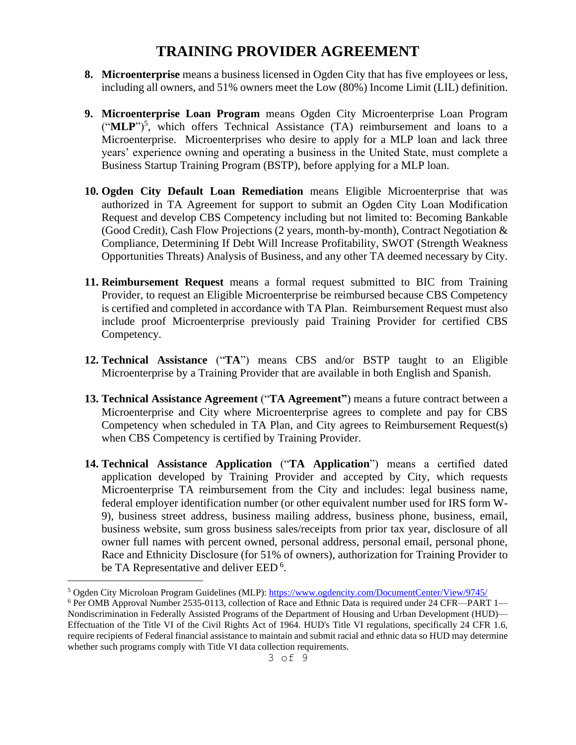- **8. Microenterprise** means a business licensed in Ogden City that has five employees or less, including all owners, and 51% owners meet the Low (80%) Income Limit (LIL) definition.
- **9. Microenterprise Loan Program** means Ogden City Microenterprise Loan Program ("MLP")<sup>5</sup>, which offers Technical Assistance (TA) reimbursement and loans to a Microenterprise. Microenterprises who desire to apply for a MLP loan and lack three years' experience owning and operating a business in the United State, must complete a Business Startup Training Program (BSTP), before applying for a MLP loan.
- **10. Ogden City Default Loan Remediation** means Eligible Microenterprise that was authorized in TA Agreement for support to submit an Ogden City Loan Modification Request and develop CBS Competency including but not limited to: Becoming Bankable (Good Credit), Cash Flow Projections (2 years, month-by-month), Contract Negotiation & Compliance, Determining If Debt Will Increase Profitability, SWOT (Strength Weakness Opportunities Threats) Analysis of Business, and any other TA deemed necessary by City.
- **11. Reimbursement Request** means a formal request submitted to BIC from Training Provider, to request an Eligible Microenterprise be reimbursed because CBS Competency is certified and completed in accordance with TA Plan. Reimbursement Request must also include proof Microenterprise previously paid Training Provider for certified CBS Competency.
- **12. Technical Assistance** ("**TA**") means CBS and/or BSTP taught to an Eligible Microenterprise by a Training Provider that are available in both English and Spanish.
- **13. Technical Assistance Agreement** ("**TA Agreement"**) means a future contract between a Microenterprise and City where Microenterprise agrees to complete and pay for CBS Competency when scheduled in TA Plan, and City agrees to Reimbursement Request(s) when CBS Competency is certified by Training Provider.
- **14. Technical Assistance Application** ("**TA Application**") means a certified dated application developed by Training Provider and accepted by City, which requests Microenterprise TA reimbursement from the City and includes: legal business name, federal employer identification number (or other equivalent number used for IRS form W-9), business street address, business mailing address, business phone, business, email, business website, sum gross business sales/receipts from prior tax year, disclosure of all owner full names with percent owned, personal address, personal email, personal phone, Race and Ethnicity Disclosure (for 51% of owners), authorization for Training Provider to be TA Representative and deliver EED<sup>6</sup>.

<sup>5</sup> Ogden City Microloan Program Guidelines (MLP):<https://www.ogdencity.com/DocumentCenter/View/9745/>

<sup>6</sup> Per OMB Approval Number 2535-0113, collection of Race and Ethnic Data is required under 24 CFR—PART 1— Nondiscrimination in Federally Assisted Programs of the Department of Housing and Urban Development (HUD)— Effectuation of the Title VI of the Civil Rights Act of 1964. HUD's Title VI regulations, specifically 24 CFR 1.6, require recipients of Federal financial assistance to maintain and submit racial and ethnic data so HUD may determine whether such programs comply with Title VI data collection requirements.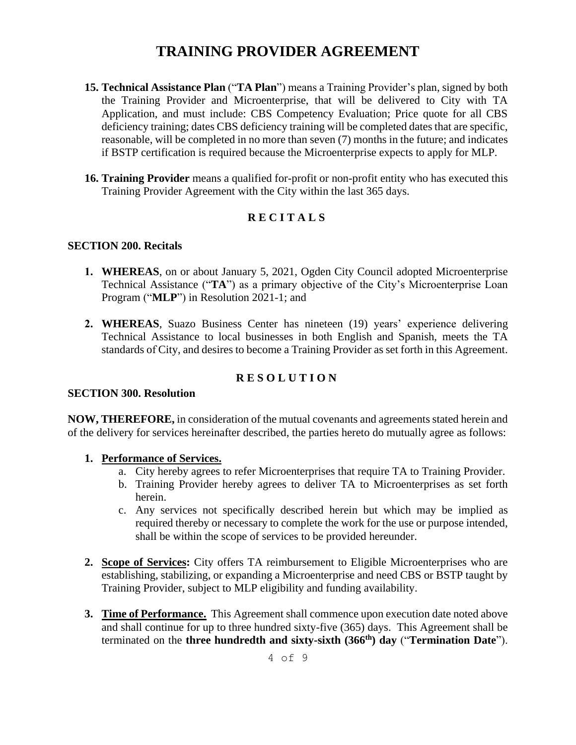- **15. Technical Assistance Plan** ("**TA Plan**") means a Training Provider's plan, signed by both the Training Provider and Microenterprise, that will be delivered to City with TA Application, and must include: CBS Competency Evaluation; Price quote for all CBS deficiency training; dates CBS deficiency training will be completed dates that are specific, reasonable, will be completed in no more than seven (7) months in the future; and indicates if BSTP certification is required because the Microenterprise expects to apply for MLP.
- **16. Training Provider** means a qualified for-profit or non-profit entity who has executed this Training Provider Agreement with the City within the last 365 days.

### **R E C I T A L S**

#### **SECTION 200. Recitals**

- **1. WHEREAS**, on or about January 5, 2021, Ogden City Council adopted Microenterprise Technical Assistance ("**TA**") as a primary objective of the City's Microenterprise Loan Program ("**MLP**") in Resolution 2021-1; and
- **2. WHEREAS**, Suazo Business Center has nineteen (19) years' experience delivering Technical Assistance to local businesses in both English and Spanish, meets the TA standards of City, and desires to become a Training Provider as set forth in this Agreement.

### **R E S O L U T I O N**

#### **SECTION 300. Resolution**

**NOW, THEREFORE,** in consideration of the mutual covenants and agreements stated herein and of the delivery for services hereinafter described, the parties hereto do mutually agree as follows:

#### **1. Performance of Services.**

- a. City hereby agrees to refer Microenterprises that require TA to Training Provider.
- b. Training Provider hereby agrees to deliver TA to Microenterprises as set forth herein.
- c. Any services not specifically described herein but which may be implied as required thereby or necessary to complete the work for the use or purpose intended, shall be within the scope of services to be provided hereunder.
- **2. Scope of Services:** City offers TA reimbursement to Eligible Microenterprises who are establishing, stabilizing, or expanding a Microenterprise and need CBS or BSTP taught by Training Provider, subject to MLP eligibility and funding availability.
- **3. Time of Performance.** This Agreement shall commence upon execution date noted above and shall continue for up to three hundred sixty-five (365) days. This Agreement shall be terminated on the **three hundredth and sixty-sixth (366th) day** ("**Termination Date**").

4 of 9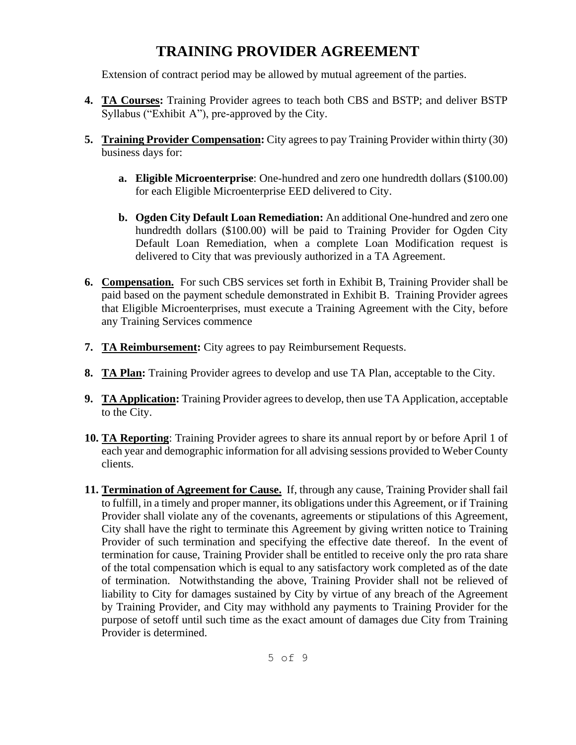Extension of contract period may be allowed by mutual agreement of the parties.

- **4. TA Courses:** Training Provider agrees to teach both CBS and BSTP; and deliver BSTP Syllabus ("Exhibit A"), pre-approved by the City.
- **5. Training Provider Compensation:** City agrees to pay Training Provider within thirty (30) business days for:
	- **a. Eligible Microenterprise**: One-hundred and zero one hundredth dollars (\$100.00) for each Eligible Microenterprise EED delivered to City.
	- **b. Ogden City Default Loan Remediation:** An additional One-hundred and zero one hundredth dollars (\$100.00) will be paid to Training Provider for Ogden City Default Loan Remediation, when a complete Loan Modification request is delivered to City that was previously authorized in a TA Agreement.
- **6. Compensation.** For such CBS services set forth in Exhibit B, Training Provider shall be paid based on the payment schedule demonstrated in Exhibit B. Training Provider agrees that Eligible Microenterprises, must execute a Training Agreement with the City, before any Training Services commence
- **7. TA Reimbursement:** City agrees to pay Reimbursement Requests.
- **8. TA Plan:** Training Provider agrees to develop and use TA Plan, acceptable to the City.
- **9. TA Application:** Training Provider agrees to develop, then use TA Application, acceptable to the City.
- **10. TA Reporting**: Training Provider agrees to share its annual report by or before April 1 of each year and demographic information for all advising sessions provided to Weber County clients.
- **11. Termination of Agreement for Cause.** If, through any cause, Training Provider shall fail to fulfill, in a timely and proper manner, its obligations under this Agreement, or if Training Provider shall violate any of the covenants, agreements or stipulations of this Agreement, City shall have the right to terminate this Agreement by giving written notice to Training Provider of such termination and specifying the effective date thereof. In the event of termination for cause, Training Provider shall be entitled to receive only the pro rata share of the total compensation which is equal to any satisfactory work completed as of the date of termination. Notwithstanding the above, Training Provider shall not be relieved of liability to City for damages sustained by City by virtue of any breach of the Agreement by Training Provider, and City may withhold any payments to Training Provider for the purpose of setoff until such time as the exact amount of damages due City from Training Provider is determined.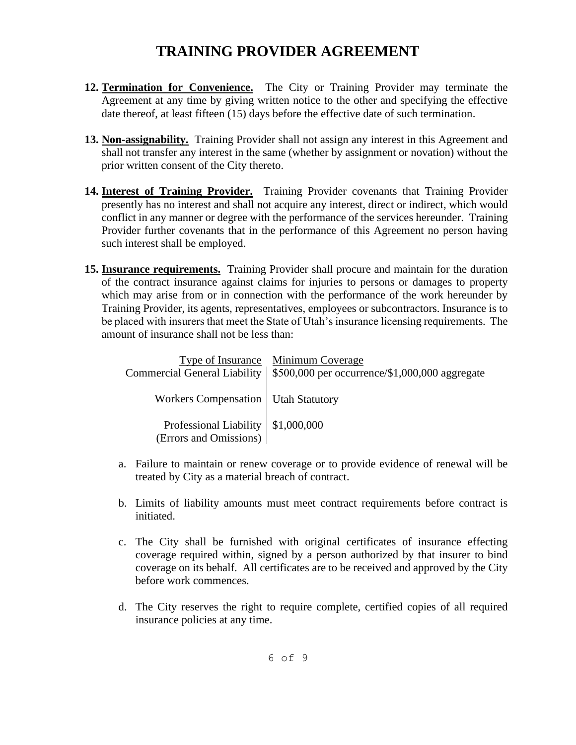- **12. Termination for Convenience.** The City or Training Provider may terminate the Agreement at any time by giving written notice to the other and specifying the effective date thereof, at least fifteen (15) days before the effective date of such termination.
- **13. Non-assignability.** Training Provider shall not assign any interest in this Agreement and shall not transfer any interest in the same (whether by assignment or novation) without the prior written consent of the City thereto.
- **14. Interest of Training Provider.** Training Provider covenants that Training Provider presently has no interest and shall not acquire any interest, direct or indirect, which would conflict in any manner or degree with the performance of the services hereunder. Training Provider further covenants that in the performance of this Agreement no person having such interest shall be employed.
- **15. Insurance requirements.** Training Provider shall procure and maintain for the duration of the contract insurance against claims for injuries to persons or damages to property which may arise from or in connection with the performance of the work hereunder by Training Provider, its agents, representatives, employees or subcontractors. Insurance is to be placed with insurers that meet the State of Utah's insurance licensing requirements. The amount of insurance shall not be less than:

|                                                                | Type of Insurance Minimum Coverage<br>Commercial General Liability   \$500,000 per occurrence/\$1,000,000 aggregate |
|----------------------------------------------------------------|---------------------------------------------------------------------------------------------------------------------|
| Workers Compensation   Utah Statutory                          |                                                                                                                     |
| Professional Liability   \$1,000,000<br>(Errors and Omissions) |                                                                                                                     |

- a. Failure to maintain or renew coverage or to provide evidence of renewal will be treated by City as a material breach of contract.
- b. Limits of liability amounts must meet contract requirements before contract is initiated.
- c. The City shall be furnished with original certificates of insurance effecting coverage required within, signed by a person authorized by that insurer to bind coverage on its behalf. All certificates are to be received and approved by the City before work commences.
- d. The City reserves the right to require complete, certified copies of all required insurance policies at any time.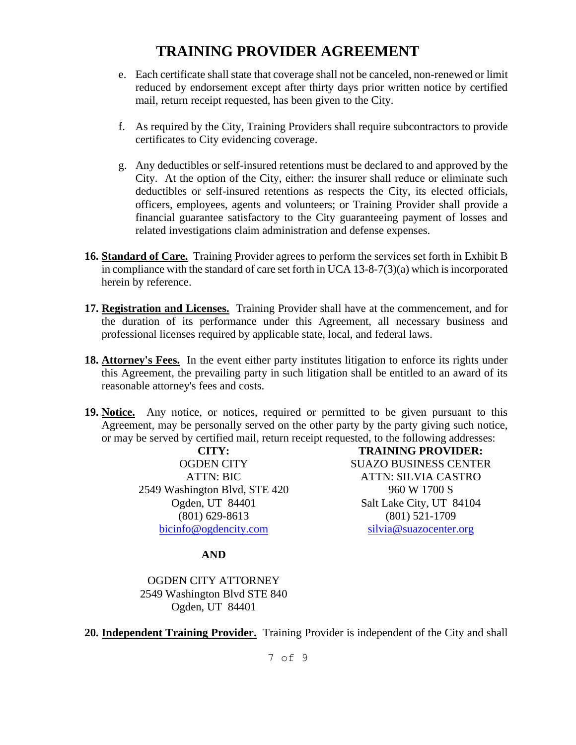- e. Each certificate shall state that coverage shall not be canceled, non-renewed or limit reduced by endorsement except after thirty days prior written notice by certified mail, return receipt requested, has been given to the City.
- f. As required by the City, Training Providers shall require subcontractors to provide certificates to City evidencing coverage.
- g. Any deductibles or self-insured retentions must be declared to and approved by the City. At the option of the City, either: the insurer shall reduce or eliminate such deductibles or self-insured retentions as respects the City, its elected officials, officers, employees, agents and volunteers; or Training Provider shall provide a financial guarantee satisfactory to the City guaranteeing payment of losses and related investigations claim administration and defense expenses.
- **16. Standard of Care.** Training Provider agrees to perform the services set forth in Exhibit B in compliance with the standard of care set forth in UCA 13-8-7(3)(a) which is incorporated herein by reference.
- **17. Registration and Licenses.** Training Provider shall have at the commencement, and for the duration of its performance under this Agreement, all necessary business and professional licenses required by applicable state, local, and federal laws.
- **18. Attorney's Fees.** In the event either party institutes litigation to enforce its rights under this Agreement, the prevailing party in such litigation shall be entitled to an award of its reasonable attorney's fees and costs.
- **19. Notice.** Any notice, or notices, required or permitted to be given pursuant to this Agreement, may be personally served on the other party by the party giving such notice, or may be served by certified mail, return receipt requested, to the following addresses:

**CITY:**  OGDEN CITY ATTN: BIC 2549 Washington Blvd, STE 420 Ogden, UT 84401 (801) 629-8613 [bicinfo@ogdencity.com](mailto:bicinfo@ogdencity.com) 

**TRAINING PROVIDER:** SUAZO BUSINESS CENTER ATTN: SILVIA CASTRO 960 W 1700 S Salt Lake City, UT 84104 (801) 521-1709 [silvia@suazocenter.org](mailto:silvia@suazocenter.org)

### **AND**

OGDEN CITY ATTORNEY 2549 Washington Blvd STE 840 Ogden, UT 84401

**20. Independent Training Provider.** Training Provider is independent of the City and shall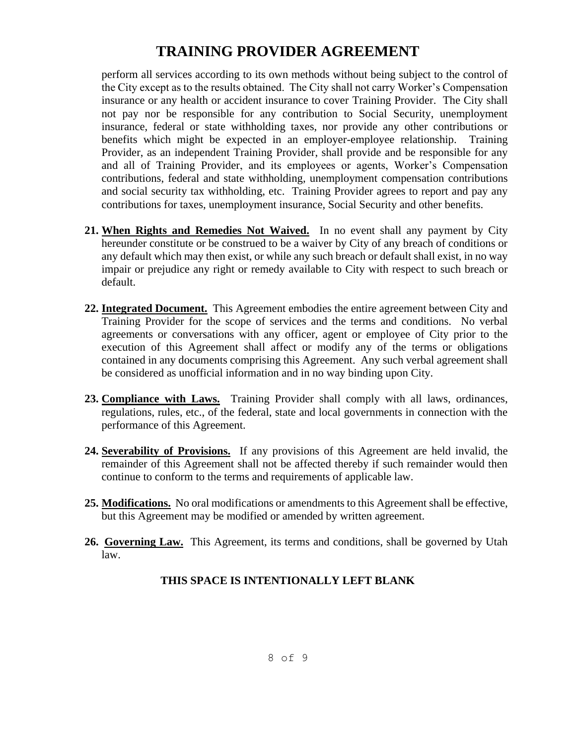perform all services according to its own methods without being subject to the control of the City except as to the results obtained. The City shall not carry Worker's Compensation insurance or any health or accident insurance to cover Training Provider. The City shall not pay nor be responsible for any contribution to Social Security, unemployment insurance, federal or state withholding taxes, nor provide any other contributions or benefits which might be expected in an employer-employee relationship. Training Provider, as an independent Training Provider, shall provide and be responsible for any and all of Training Provider, and its employees or agents, Worker's Compensation contributions, federal and state withholding, unemployment compensation contributions and social security tax withholding, etc. Training Provider agrees to report and pay any contributions for taxes, unemployment insurance, Social Security and other benefits.

- **21. When Rights and Remedies Not Waived.** In no event shall any payment by City hereunder constitute or be construed to be a waiver by City of any breach of conditions or any default which may then exist, or while any such breach or default shall exist, in no way impair or prejudice any right or remedy available to City with respect to such breach or default.
- **22. Integrated Document.** This Agreement embodies the entire agreement between City and Training Provider for the scope of services and the terms and conditions. No verbal agreements or conversations with any officer, agent or employee of City prior to the execution of this Agreement shall affect or modify any of the terms or obligations contained in any documents comprising this Agreement. Any such verbal agreement shall be considered as unofficial information and in no way binding upon City.
- **23. Compliance with Laws.** Training Provider shall comply with all laws, ordinances, regulations, rules, etc., of the federal, state and local governments in connection with the performance of this Agreement.
- **24. Severability of Provisions.** If any provisions of this Agreement are held invalid, the remainder of this Agreement shall not be affected thereby if such remainder would then continue to conform to the terms and requirements of applicable law.
- **25. Modifications.** No oral modifications or amendments to this Agreement shall be effective, but this Agreement may be modified or amended by written agreement.
- **26. Governing Law.** This Agreement, its terms and conditions, shall be governed by Utah law.

### **THIS SPACE IS INTENTIONALLY LEFT BLANK**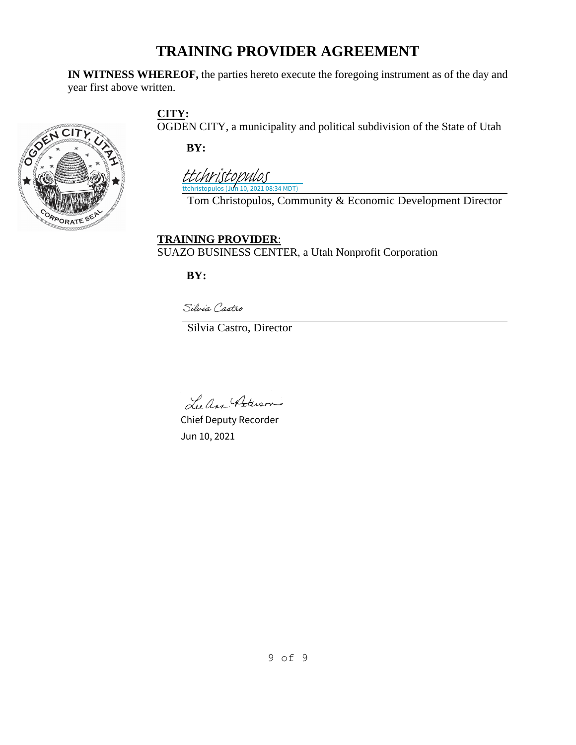**IN WITNESS WHEREOF,** the parties hereto execute the foregoing instrument as of the day and year first above written.



**CITY:**

OGDEN CITY, a municipality and political subdivision of the State of Utah

**BY:**

ttchristopulos (Jun 10, 2021 08:34 MDT) [ttchristopulos](https://ogdencity.na2.echosign.com/verifier?tx=CBJCHBCAABAApPXdruSX0-B3cyxfaai6X6MF3BRSQGVv)

Tom Christopulos, Community & Economic Development Director

**TRAINING PROVIDER**: SUAZO BUSINESS CENTER, a Utah Nonprofit Corporation

**BY:**

Silvia Castro

Silvia Castro, Director

Lee An Peterson

Chief Deputy Recorder Jun 10, 2021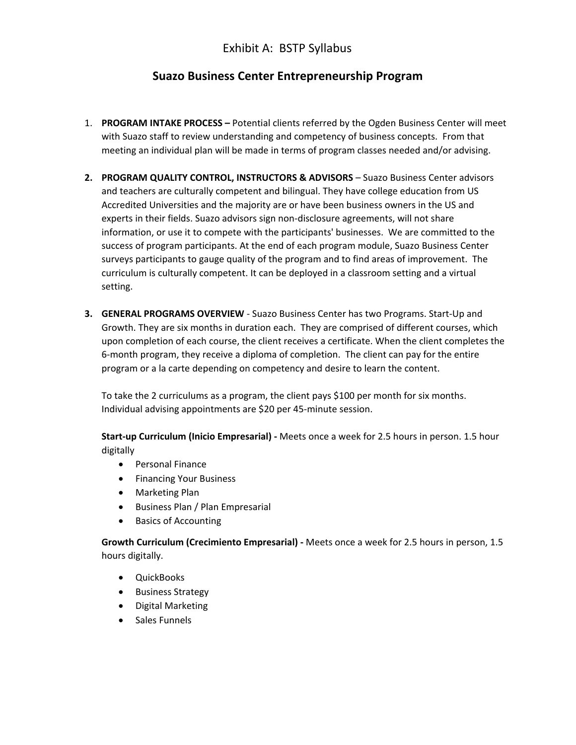### Exhibit A: BSTP Syllabus

### **Suazo Business Center Entrepreneurship Program**

- 1. **PROGRAM INTAKE PROCESS –** Potential clients referred by the Ogden Business Center will meet with Suazo staff to review understanding and competency of business concepts. From that meeting an individual plan will be made in terms of program classes needed and/or advising.
- **2. PROGRAM QUALITY CONTROL, INSTRUCTORS & ADVISORS** Suazo Business Center advisors and teachers are culturally competent and bilingual. They have college education from US Accredited Universities and the majority are or have been business owners in the US and experts in their fields. Suazo advisors sign non-disclosure agreements, will not share information, or use it to compete with the participants' businesses. We are committed to the success of program participants. At the end of each program module, Suazo Business Center surveys participants to gauge quality of the program and to find areas of improvement. The curriculum is culturally competent. It can be deployed in a classroom setting and a virtual setting.
- **3. GENERAL PROGRAMS OVERVIEW** Suazo Business Center has two Programs. Start-Up and Growth. They are six months in duration each. They are comprised of different courses, which upon completion of each course, the client receives a certificate. When the client completes the 6-month program, they receive a diploma of completion. The client can pay for the entire program or a la carte depending on competency and desire to learn the content.

To take the 2 curriculums as a program, the client pays \$100 per month for six months. Individual advising appointments are \$20 per 45-minute session.

**Start-up Curriculum (Inicio Empresarial) -** Meets once a week for 2.5 hours in person. 1.5 hour digitally

- Personal Finance
- Financing Your Business
- Marketing Plan
- Business Plan / Plan Empresarial
- Basics of Accounting

**Growth Curriculum (Crecimiento Empresarial) -** Meets once a week for 2.5 hours in person, 1.5 hours digitally.

- QuickBooks
- Business Strategy
- Digital Marketing
- Sales Funnels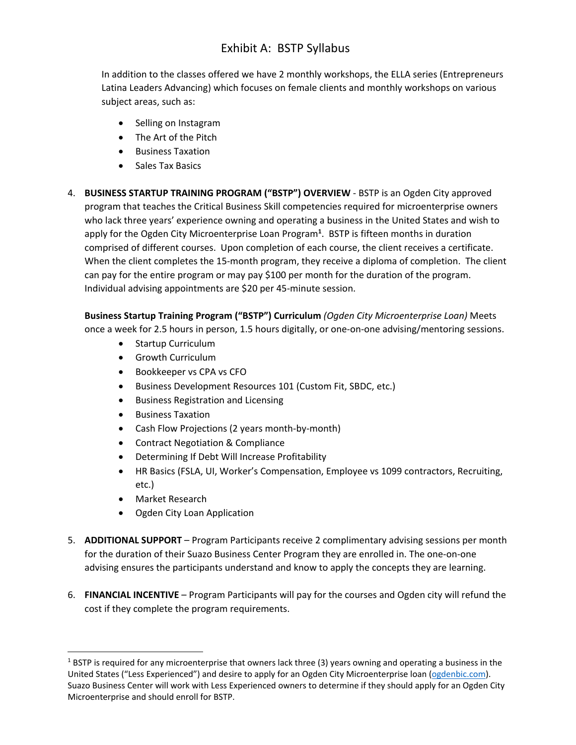### Exhibit A: BSTP Syllabus

In addition to the classes offered we have 2 monthly workshops, the ELLA series (Entrepreneurs Latina Leaders Advancing) which focuses on female clients and monthly workshops on various subject areas, such as:

- Selling on Instagram
- The Art of the Pitch
- Business Taxation
- Sales Tax Basics
- 4. **BUSINESS STARTUP TRAINING PROGRAM ("BSTP") OVERVIEW** BSTP is an Ogden City approved program that teaches the Critical Business Skill competencies required for microenterprise owners who lack three years' experience owning and operating a business in the United States and wish to apply for the Ogden City Microenterprise Loan Program**<sup>1</sup>** . BSTP is fifteen months in duration comprised of different courses. Upon completion of each course, the client receives a certificate. When the client completes the 15-month program, they receive a diploma of completion. The client can pay for the entire program or may pay \$100 per month for the duration of the program. Individual advising appointments are \$20 per 45-minute session.

**Business Startup Training Program ("BSTP") Curriculum** *(Ogden City Microenterprise Loan)* Meets once a week for 2.5 hours in person, 1.5 hours digitally, or one-on-one advising/mentoring sessions.

- Startup Curriculum
- Growth Curriculum
- Bookkeeper vs CPA vs CFO
- Business Development Resources 101 (Custom Fit, SBDC, etc.)
- Business Registration and Licensing
- Business Taxation
- Cash Flow Projections (2 years month-by-month)
- Contract Negotiation & Compliance
- Determining If Debt Will Increase Profitability
- HR Basics (FSLA, UI, Worker's Compensation, Employee vs 1099 contractors, Recruiting, etc.)
- Market Research
- Ogden City Loan Application
- 5. **ADDITIONAL SUPPORT**  Program Participants receive 2 complimentary advising sessions per month for the duration of their Suazo Business Center Program they are enrolled in. The one-on-one advising ensures the participants understand and know to apply the concepts they are learning.
- 6. **FINANCIAL INCENTIVE** Program Participants will pay for the courses and Ogden city will refund the cost if they complete the program requirements.

 $1$  BSTP is required for any microenterprise that owners lack three (3) years owning and operating a business in the United States ("Less Experienced") and desire to apply for an Ogden City Microenterprise loan [\(ogdenbic.com\)](ogdenbic.com). Suazo Business Center will work with Less Experienced owners to determine if they should apply for an Ogden City Microenterprise and should enroll for BSTP.